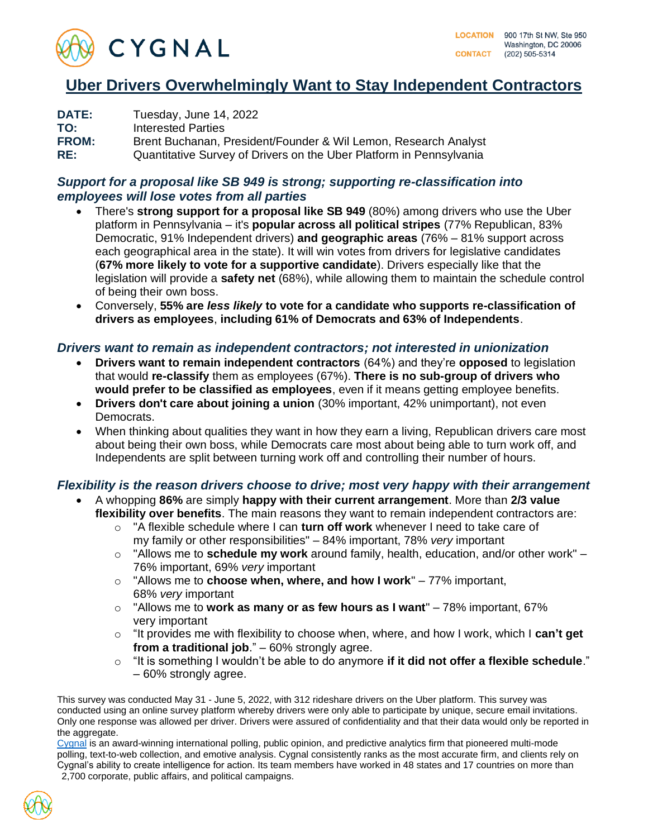

## **Uber Drivers Overwhelmingly Want to Stay Independent Contractors**

| <b>DATE:</b> | Tuesday, June 14, 2022                                              |
|--------------|---------------------------------------------------------------------|
| TO:          | Interested Parties                                                  |
| <b>FROM:</b> | Brent Buchanan, President/Founder & Wil Lemon, Research Analyst     |
| RE:          | Quantitative Survey of Drivers on the Uber Platform in Pennsylvania |

## *Support for a proposal like SB 949 is strong; supporting re-classification into employees will lose votes from all parties*

- There's **strong support for a proposal like SB 949** (80%) among drivers who use the Uber platform in Pennsylvania – it's **popular across all political stripes** (77% Republican, 83% Democratic, 91% Independent drivers) **and geographic areas** (76% – 81% support across each geographical area in the state). It will win votes from drivers for legislative candidates (**67% more likely to vote for a supportive candidate**). Drivers especially like that the legislation will provide a **safety net** (68%), while allowing them to maintain the schedule control of being their own boss.
- Conversely, **55% are** *less likely* **to vote for a candidate who supports re-classification of drivers as employees**, **including 61% of Democrats and 63% of Independents**.

## *Drivers want to remain as independent contractors; not interested in unionization*

- **Drivers want to remain independent contractors** (64%) and they're **opposed** to legislation that would **re-classify** them as employees (67%). **There is no sub-group of drivers who would prefer to be classified as employees**, even if it means getting employee benefits.
- **Drivers don't care about joining a union** (30% important, 42% unimportant), not even Democrats.
- When thinking about qualities they want in how they earn a living, Republican drivers care most about being their own boss, while Democrats care most about being able to turn work off, and Independents are split between turning work off and controlling their number of hours.

## *Flexibility is the reason drivers choose to drive; most very happy with their arrangement*

- A whopping **86%** are simply **happy with their current arrangement**. More than **2/3 value flexibility over benefits**. The main reasons they want to remain independent contractors are:
	- o "A flexible schedule where I can **turn off work** whenever I need to take care of my family or other responsibilities" – 84% important, 78% *very* important
	- o "Allows me to **schedule my work** around family, health, education, and/or other work" 76% important, 69% *very* important
	- o "Allows me to **choose when, where, and how I work**" 77% important, 68% *very* important
	- o "Allows me to **work as many or as few hours as I want**" 78% important, 67% very important
	- o "It provides me with flexibility to choose when, where, and how I work, which I **can't get from a traditional job**." – 60% strongly agree.
	- o "It is something I wouldn't be able to do anymore **if it did not offer a flexible schedule**." – 60% strongly agree.

This survey was conducted May 31 - June 5, 2022, with 312 rideshare drivers on the Uber platform. This survey was conducted using an online survey platform whereby drivers were only able to participate by unique, secure email invitations. Only one response was allowed per driver. Drivers were assured of confidentiality and that their data would only be reported in the aggregate.

[Cygnal](http://www.cygn.al/) is an award-winning international polling, public opinion, and predictive analytics firm that pioneered multi-mode polling, text-to-web collection, and emotive analysis. Cygnal consistently ranks as the most accurate firm, and clients rely on Cygnal's ability to create intelligence for action. Its team members have worked in 48 states and 17 countries on more than 2,700 corporate, public affairs, and political campaigns.

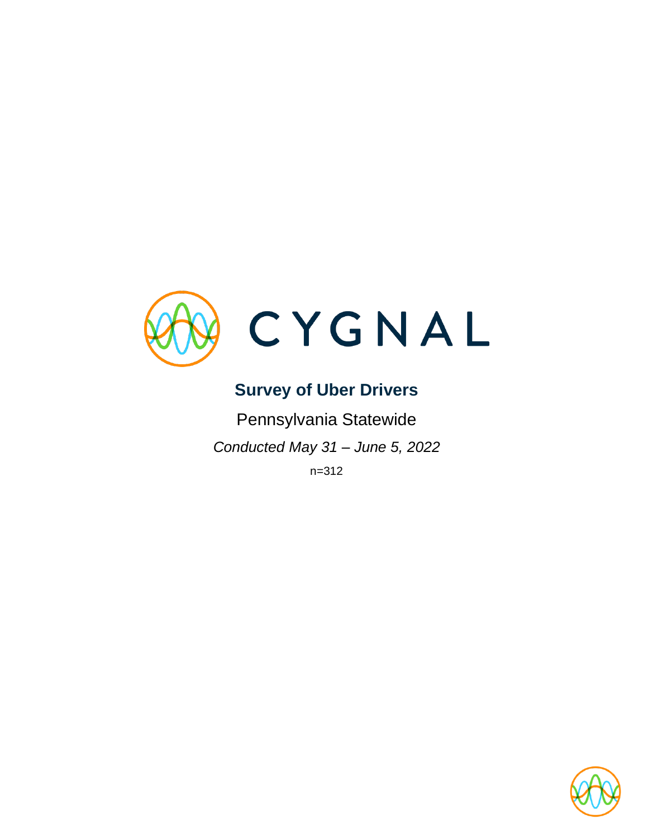

# **Survey of Uber Drivers**

Pennsylvania Statewide *Conducted May 31 – June 5, 2022*

n=312

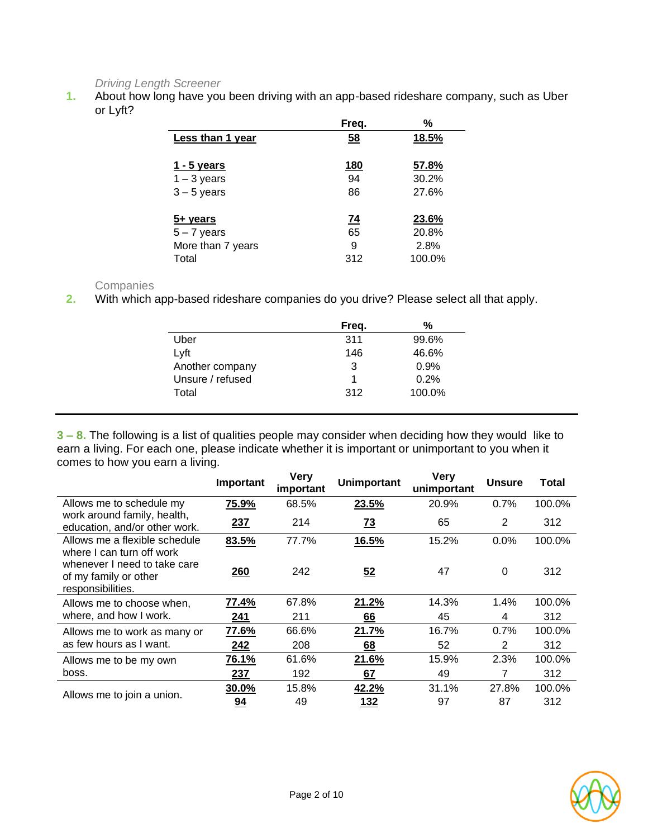## *Driving Length Screener*

**1.** About how long have you been driving with an app-based rideshare company, such as Uber or Lyft?

|                   | Freq.      | %      |
|-------------------|------------|--------|
| Less than 1 year  | 58         | 18.5%  |
|                   |            |        |
| 1 - 5 years       | <u>180</u> | 57.8%  |
| $1 - 3$ years     | 94         | 30.2%  |
| $3 - 5$ years     | 86         | 27.6%  |
|                   |            |        |
| <u>5+ years</u>   | <u>74</u>  | 23.6%  |
| $5 - 7$ years     | 65         | 20.8%  |
| More than 7 years | 9          | 2.8%   |
| Total             | 312        | 100.0% |

#### **Companies**

**2.** With which app-based rideshare companies do you drive? Please select all that apply.

|                  | Freq. | %      |
|------------------|-------|--------|
| Uber             | 311   | 99.6%  |
| Lyft             | 146   | 46.6%  |
| Another company  | 3     | 0.9%   |
| Unsure / refused | 1     | 0.2%   |
| Total            | 312   | 100.0% |

**3 – 8.** The following is a list of qualities people may consider when deciding how they would like to earn a living. For each one, please indicate whether it is important or unimportant to you when it comes to how you earn a living.

|                                                                                                         | Important  | <b>Very</b><br>important | <b>Unimportant</b> | <b>Very</b><br>unimportant | <b>Unsure</b> | Total  |
|---------------------------------------------------------------------------------------------------------|------------|--------------------------|--------------------|----------------------------|---------------|--------|
| Allows me to schedule my                                                                                | 75.9%      | 68.5%                    | 23.5%              | 20.9%                      | 0.7%          | 100.0% |
| work around family, health,<br>education, and/or other work.                                            | 237        | 214                      | <u>73</u>          | 65                         | 2             | 312    |
| Allows me a flexible schedule                                                                           | 83.5%      | 77.7%                    | 16.5%              | 15.2%                      | 0.0%          | 100.0% |
| where I can turn off work<br>whenever I need to take care<br>of my family or other<br>responsibilities. | <b>260</b> | 242                      | 52                 | 47                         | 0             | 312    |
| Allows me to choose when,                                                                               | 77.4%      | 67.8%                    | 21.2%              | 14.3%                      | 1.4%          | 100.0% |
| where, and how I work.                                                                                  | 241        | 211                      | 66                 | 45                         | 4             | 312    |
| Allows me to work as many or                                                                            | 77.6%      | 66.6%                    | 21.7%              | 16.7%                      | 0.7%          | 100.0% |
| as few hours as I want.                                                                                 | 242        | 208                      | <u>68</u>          | 52                         | 2             | 312    |
| Allows me to be my own                                                                                  | 76.1%      | 61.6%                    | 21.6%              | 15.9%                      | 2.3%          | 100.0% |
| boss.                                                                                                   | 237        | 192                      | 67                 | 49                         | 7             | 312    |
|                                                                                                         | 30.0%      | 15.8%                    | 42.2%              | 31.1%                      | 27.8%         | 100.0% |
| Allows me to join a union.                                                                              | 94         | 49                       | 132                | 97                         | 87            | 312    |

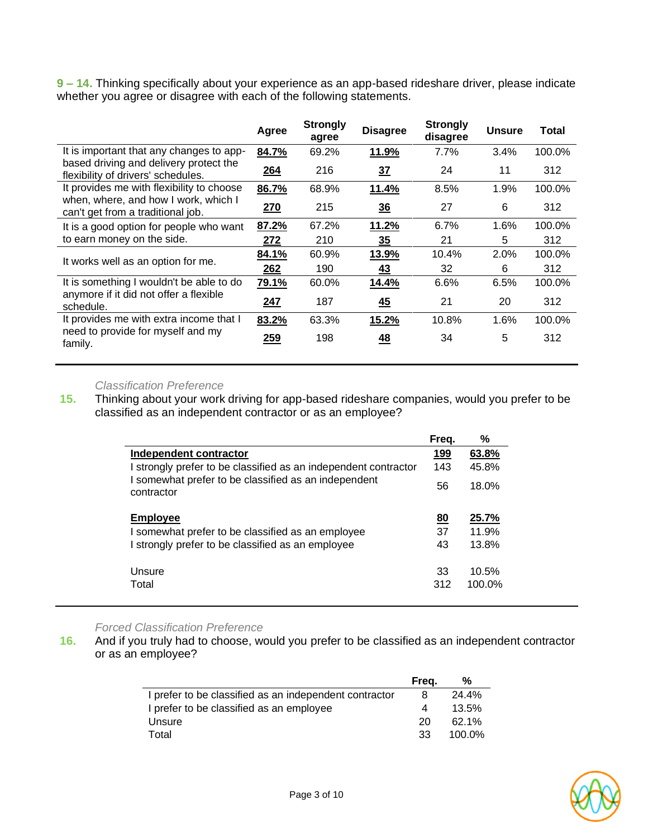**9 – 14.** Thinking specifically about your experience as an app-based rideshare driver, please indicate whether you agree or disagree with each of the following statements.

|                                                                              | Agree | <b>Strongly</b><br>agree | <b>Disagree</b> | <b>Strongly</b><br>disagree | <b>Unsure</b> | <b>Total</b> |
|------------------------------------------------------------------------------|-------|--------------------------|-----------------|-----------------------------|---------------|--------------|
| It is important that any changes to app-                                     | 84.7% | 69.2%                    | 11.9%           | 7.7%                        | 3.4%          | 100.0%       |
| based driving and delivery protect the<br>flexibility of drivers' schedules. | 264   | 216                      | 37              | 24                          | 11            | 312          |
| It provides me with flexibility to choose                                    | 86.7% | 68.9%                    | 11.4%           | 8.5%                        | 1.9%          | 100.0%       |
| when, where, and how I work, which I<br>can't get from a traditional job.    | 270   | 215                      | 36              | 27                          | 6             | 312          |
| It is a good option for people who want                                      | 87.2% | 67.2%                    | 11.2%           | 6.7%                        | 1.6%          | 100.0%       |
| to earn money on the side.                                                   | 272   | 210                      | 35              | 21                          | 5             | 312          |
| It works well as an option for me.                                           | 84.1% | 60.9%                    | 13.9%           | 10.4%                       | 2.0%          | 100.0%       |
|                                                                              | 262   | 190                      | 43              | 32                          | 6             | 312          |
| It is something I wouldn't be able to do                                     | 79.1% | 60.0%                    | 14.4%           | 6.6%                        | 6.5%          | 100.0%       |
| anymore if it did not offer a flexible<br>schedule.                          | 247   | 187                      | <u>45</u>       | 21                          | 20            | 312          |
| It provides me with extra income that I                                      | 83.2% | 63.3%                    | 15.2%           | 10.8%                       | 1.6%          | 100.0%       |
| need to provide for myself and my<br>family.                                 | 259   | 198                      | <u>48</u>       | 34                          | 5             | 312          |

#### *Classification Preference*

**15.** Thinking about your work driving for app-based rideshare companies, would you prefer to be classified as an independent contractor or as an employee?

|                                                                                                                                       | Freq. | ℅         |
|---------------------------------------------------------------------------------------------------------------------------------------|-------|-----------|
| Independent contractor                                                                                                                | 199   | 63.8%     |
| I strongly prefer to be classified as an independent contractor<br>I somewhat prefer to be classified as an independent<br>contractor | 143   | 45.8%     |
|                                                                                                                                       | 56    | 18.0%     |
| <b>Employee</b>                                                                                                                       | 80    | 25.7%     |
| I somewhat prefer to be classified as an employee                                                                                     | 37    | 11.9%     |
| I strongly prefer to be classified as an employee                                                                                     | 43    | 13.8%     |
| Unsure                                                                                                                                | 33    | 10.5%     |
| Total                                                                                                                                 | 312   | $100.0\%$ |

#### *Forced Classification Preference*

**16.** And if you truly had to choose, would you prefer to be classified as an independent contractor or as an employee?

|                                                        | Freq. | ℅      |
|--------------------------------------------------------|-------|--------|
| I prefer to be classified as an independent contractor | 8     | 24.4%  |
| I prefer to be classified as an employee               | 4     | 13.5%  |
| Unsure                                                 | 20    | 62.1%  |
| Total                                                  | -33   | 100.0% |

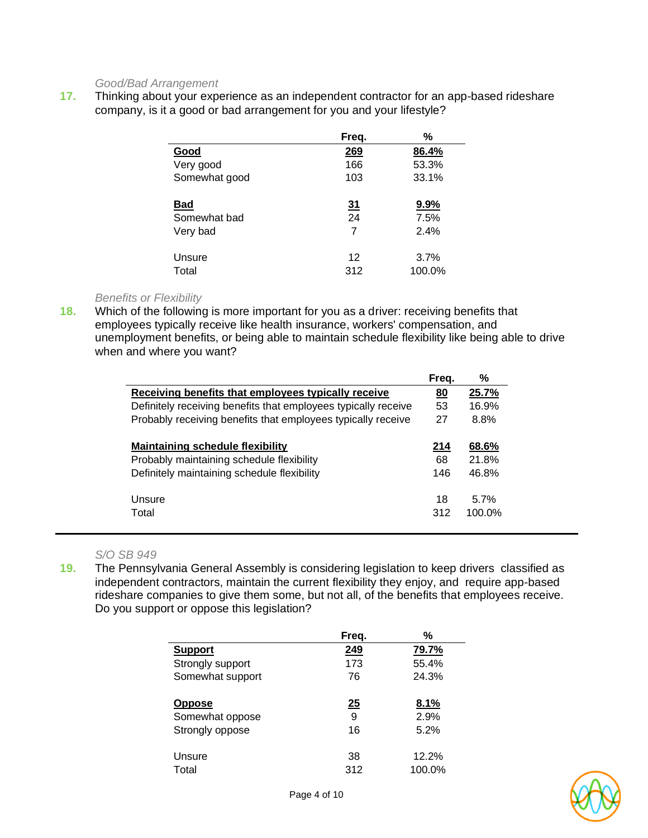#### *Good/Bad Arrangement*

**17.** Thinking about your experience as an independent contractor for an app-based rideshare company, is it a good or bad arrangement for you and your lifestyle?

|               | Freq.     | $\frac{0}{0}$ |
|---------------|-----------|---------------|
| Good          | 269       | 86.4%         |
| Very good     | 166       | 53.3%         |
| Somewhat good | 103       | 33.1%         |
| <b>Bad</b>    | <u>31</u> | 9.9%          |
| Somewhat bad  | 24        | 7.5%          |
| Very bad      | 7         | 2.4%          |
| Unsure        | 12        | 3.7%          |
| Total         | 312       | 100.0%        |

#### *Benefits or Flexibility*

**18.** Which of the following is more important for you as a driver: receiving benefits that employees typically receive like health insurance, workers' compensation, and unemployment benefits, or being able to maintain schedule flexibility like being able to drive when and where you want?

|                                                                | Freg.     | %                 |
|----------------------------------------------------------------|-----------|-------------------|
| Receiving benefits that employees typically receive            | <u>80</u> | 25.7%             |
| Definitely receiving benefits that employees typically receive | 53        | 16.9%             |
| Probably receiving benefits that employees typically receive   | 27        | 8.8%              |
| <b>Maintaining schedule flexibility</b>                        | 214       | 68.6%             |
| Probably maintaining schedule flexibility                      | 68        | 21.8%             |
| Definitely maintaining schedule flexibility                    | 146       | 46.8%             |
| Unsure<br>Total                                                | 18<br>312 | 5.7%<br>$100.0\%$ |

#### *S/O SB 949*

**19.** The Pennsylvania General Assembly is considering legislation to keep drivers classified as independent contractors, maintain the current flexibility they enjoy, and require app-based rideshare companies to give them some, but not all, of the benefits that employees receive. Do you support or oppose this legislation?

|                  | Freq. | %      |
|------------------|-------|--------|
| <b>Support</b>   | 249   | 79.7%  |
| Strongly support | 173   | 55.4%  |
| Somewhat support | 76    | 24.3%  |
| <b>Oppose</b>    | 25    | 8.1%   |
| Somewhat oppose  | 9     | 2.9%   |
| Strongly oppose  | 16    | 5.2%   |
| Unsure           | 38    | 12.2%  |
| Total            | 312   | 100.0% |

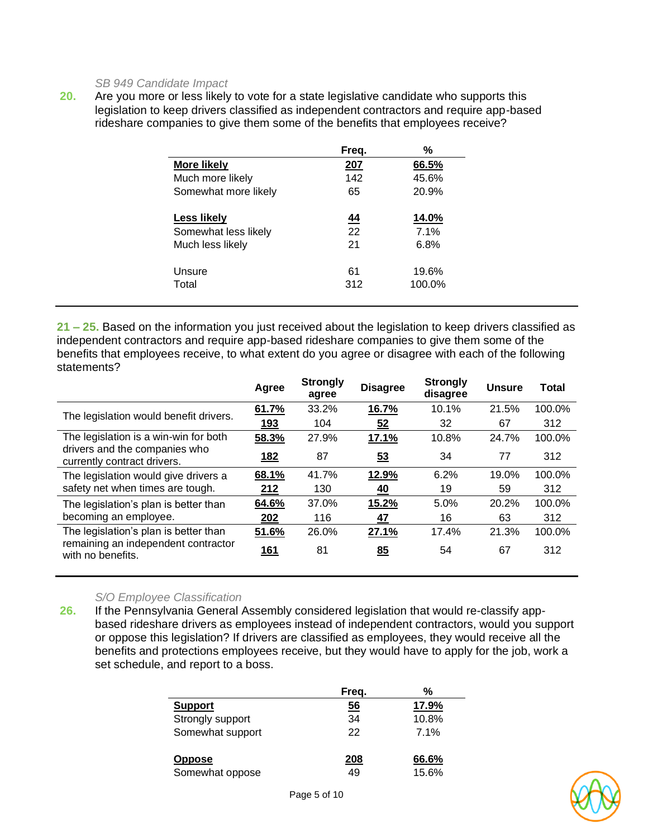#### *SB 949 Candidate Impact*

**20.** Are you more or less likely to vote for a state legislative candidate who supports this legislation to keep drivers classified as independent contractors and require app-based rideshare companies to give them some of the benefits that employees receive?

|                      | Freg.       | %               |
|----------------------|-------------|-----------------|
| <b>More likely</b>   | <u> 207</u> | 66.5%           |
| Much more likely     | 142         | 45.6%           |
| Somewhat more likely | 65          | 20.9%           |
| <u>Less likely</u>   | <u>44</u>   | 14.0%           |
| Somewhat less likely | 22          | 7.1%            |
| Much less likely     | 21          | 6.8%            |
| Unsure<br>Total      | 61<br>312   | 19.6%<br>100.0% |

**21 – 25.** Based on the information you just received about the legislation to keep drivers classified as independent contractors and require app-based rideshare companies to give them some of the benefits that employees receive, to what extent do you agree or disagree with each of the following statements?

|                                                              | Agree      | <b>Strongly</b><br>agree | <b>Disagree</b> | <b>Strongly</b><br>disagree | <b>Unsure</b> | Total  |
|--------------------------------------------------------------|------------|--------------------------|-----------------|-----------------------------|---------------|--------|
| The legislation would benefit drivers.                       | 61.7%      | 33.2%                    | 16.7%           | 10.1%                       | 21.5%         | 100.0% |
|                                                              | 193        | 104                      | 52              | 32                          | 67            | 312    |
| The legislation is a win-win for both                        | 58.3%      | 27.9%                    | 17.1%           | 10.8%                       | 24.7%         | 100.0% |
| drivers and the companies who<br>currently contract drivers. | <u>182</u> | 87                       | 53              | 34                          | 77            | 312    |
| The legislation would give drivers a                         | 68.1%      | 41.7%                    | 12.9%           | 6.2%                        | 19.0%         | 100.0% |
| safety net when times are tough.                             | 212        | 130                      | <u>40</u>       | 19                          | 59            | 312    |
| The legislation's plan is better than                        | 64.6%      | 37.0%                    | 15.2%           | 5.0%                        | 20.2%         | 100.0% |
| becoming an employee.                                        | 202        | 116                      | <u>47</u>       | 16                          | 63            | 312    |
| The legislation's plan is better than                        | 51.6%      | 26.0%                    | 27.1%           | 17.4%                       | 21.3%         | 100.0% |
| remaining an independent contractor<br>with no benefits.     | <u>161</u> | 81                       | 85              | 54                          | 67            | 312    |

#### *S/O Employee Classification*

**26.** If the Pennsylvania General Assembly considered legislation that would re-classify appbased rideshare drivers as employees instead of independent contractors, would you support or oppose this legislation? If drivers are classified as employees, they would receive all the benefits and protections employees receive, but they would have to apply for the job, work a set schedule, and report to a boss.

|                                  | Freq.     | %              |
|----------------------------------|-----------|----------------|
| <b>Support</b>                   | 56        | 17.9%          |
| Strongly support                 | 34        | 10.8%          |
| Somewhat support                 | 22        | 7.1%           |
| <b>Oppose</b><br>Somewhat oppose | 208<br>49 | 66.6%<br>15.6% |

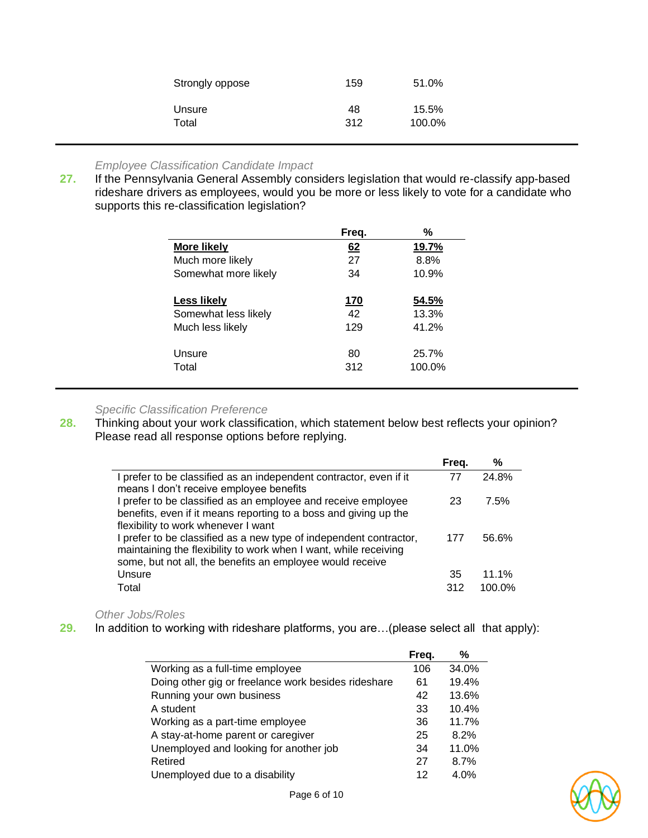| Strongly oppose | 159 | 51.0%  |  |
|-----------------|-----|--------|--|
| Unsure          | 48  | 15.5%  |  |
| Total           | 312 | 100.0% |  |

#### *Employee Classification Candidate Impact*

**27.** If the Pennsylvania General Assembly considers legislation that would re-classify app-based rideshare drivers as employees, would you be more or less likely to vote for a candidate who supports this re-classification legislation?

|                      | Freq.      | %      |
|----------------------|------------|--------|
| <b>More likely</b>   | 62         | 19.7%  |
| Much more likely     | 27         | 8.8%   |
| Somewhat more likely | 34         | 10.9%  |
| <b>Less likely</b>   | <u>170</u> | 54.5%  |
| Somewhat less likely | 42         | 13.3%  |
| Much less likely     | 129        | 41.2%  |
| Unsure               | 80         | 25.7%  |
| Total                | 312        | 100.0% |

#### *Specific Classification Preference*

**28.** Thinking about your work classification, which statement below best reflects your opinion? Please read all response options before replying.

|                                                                                                                                                                                                     | Freq. | %      |
|-----------------------------------------------------------------------------------------------------------------------------------------------------------------------------------------------------|-------|--------|
| I prefer to be classified as an independent contractor, even if it<br>means I don't receive employee benefits                                                                                       | 77    | 24.8%  |
| I prefer to be classified as an employee and receive employee<br>benefits, even if it means reporting to a boss and giving up the<br>flexibility to work whenever I want                            | 23    | 7.5%   |
| I prefer to be classified as a new type of independent contractor,<br>maintaining the flexibility to work when I want, while receiving<br>some, but not all, the benefits an employee would receive | 177   | 56.6%  |
| Unsure                                                                                                                                                                                              | 35    | 11.1%  |
| Total                                                                                                                                                                                               | 312   | 100.0% |

*Other Jobs/Roles*

**29.** In addition to working with rideshare platforms, you are…(please select all that apply):

|                                                     | Freq. | ℅     |
|-----------------------------------------------------|-------|-------|
| Working as a full-time employee                     | 106   | 34.0% |
| Doing other gig or freelance work besides rideshare | 61    | 19.4% |
| Running your own business                           | 42    | 13.6% |
| A student                                           | 33    | 10.4% |
| Working as a part-time employee                     | 36    | 11.7% |
| A stay-at-home parent or caregiver                  | 25    | 8.2%  |
| Unemployed and looking for another job              | 34    | 11.0% |
| Retired                                             | 27    | 8.7%  |
| Unemployed due to a disability                      | 12    | 4.0%  |

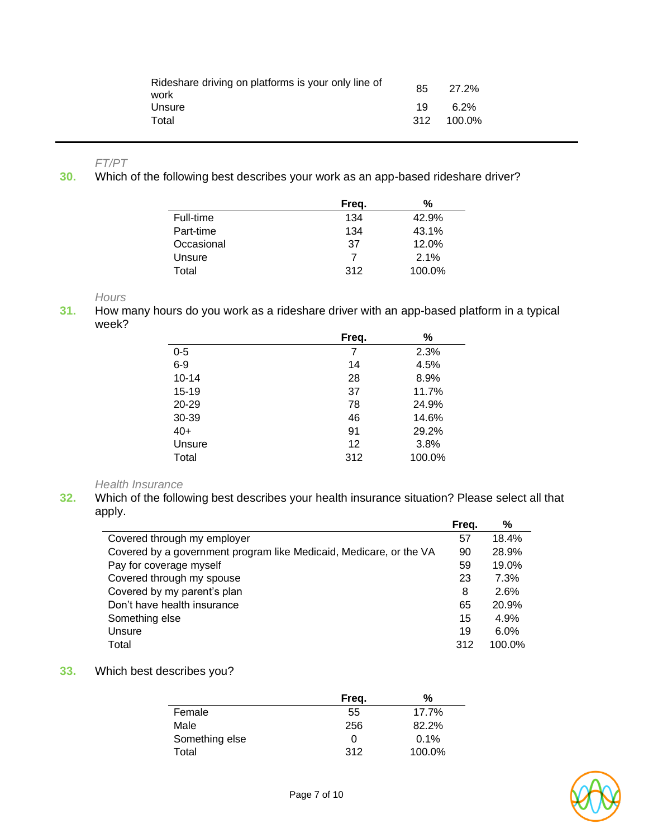| Rideshare driving on platforms is your only line of<br>work | 85  | 27.2%   |  |
|-------------------------------------------------------------|-----|---------|--|
| Unsure                                                      | 19  | $6.2\%$ |  |
| Total                                                       | 312 | 100.0%  |  |

*FT/PT*

**30.** Which of the following best describes your work as an app-based rideshare driver?

|            | Freq. | %      |
|------------|-------|--------|
| Full-time  | 134   | 42.9%  |
| Part-time  | 134   | 43.1%  |
| Occasional | 37    | 12.0%  |
| Unsure     | 7     | 2.1%   |
| Total      | 312   | 100.0% |

*Hours*

**31.** How many hours do you work as a rideshare driver with an app-based platform in a typical week?

|           | Freq. | %      |
|-----------|-------|--------|
| $0 - 5$   | 7     | 2.3%   |
| $6-9$     | 14    | 4.5%   |
| $10 - 14$ | 28    | 8.9%   |
| 15-19     | 37    | 11.7%  |
| 20-29     | 78    | 24.9%  |
| 30-39     | 46    | 14.6%  |
| $40+$     | 91    | 29.2%  |
| Unsure    | 12    | 3.8%   |
| Total     | 312   | 100.0% |

*Health Insurance*

**32.** Which of the following best describes your health insurance situation? Please select all that apply.

|                                                                    | Freq. | $\%$   |
|--------------------------------------------------------------------|-------|--------|
| Covered through my employer                                        | 57    | 18.4%  |
| Covered by a government program like Medicaid, Medicare, or the VA | 90    | 28.9%  |
| Pay for coverage myself                                            | 59    | 19.0%  |
| Covered through my spouse                                          | 23    | 7.3%   |
| Covered by my parent's plan                                        | 8     | 2.6%   |
| Don't have health insurance                                        | 65    | 20.9%  |
| Something else                                                     | 15    | 4.9%   |
| Unsure                                                             | 19    | 6.0%   |
| Total                                                              | 312   | 100.0% |

#### **33.** Which best describes you?

|                | Freq. | %      |
|----------------|-------|--------|
| Female         | 55    | 17.7%  |
| Male           | 256   | 82.2%  |
| Something else | 0     | 0.1%   |
| Total          | 312   | 100.0% |

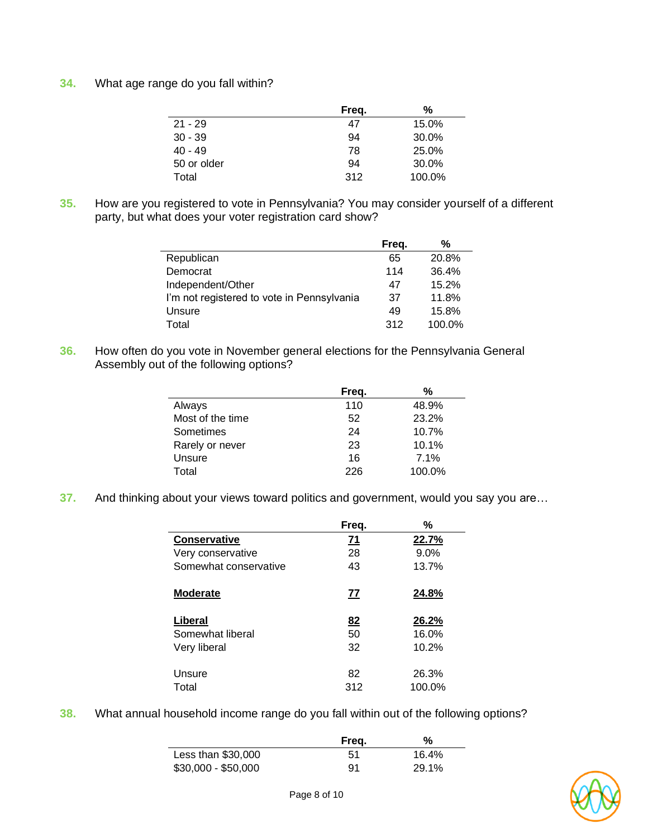**34.** What age range do you fall within?

|             | Freq. | %      |
|-------------|-------|--------|
| $21 - 29$   | 47    | 15.0%  |
| $30 - 39$   | 94    | 30.0%  |
| $40 - 49$   | 78    | 25.0%  |
| 50 or older | 94    | 30.0%  |
| Total       | 312   | 100.0% |

**35.** How are you registered to vote in Pennsylvania? You may consider yourself of a different party, but what does your voter registration card show?

|                                            | Freq. | %      |
|--------------------------------------------|-------|--------|
| Republican                                 | 65    | 20.8%  |
| Democrat                                   | 114   | 36.4%  |
| Independent/Other                          | 47    | 15.2%  |
| I'm not registered to vote in Pennsylvania | 37    | 11.8%  |
| Unsure                                     | 49    | 15.8%  |
| Total                                      | 312   | 100.0% |

**36.** How often do you vote in November general elections for the Pennsylvania General Assembly out of the following options?

|                  | Freq. | %      |
|------------------|-------|--------|
| Always           | 110   | 48.9%  |
| Most of the time | 52    | 23.2%  |
| Sometimes        | 24    | 10.7%  |
| Rarely or never  | 23    | 10.1%  |
| Unsure           | 16    | 7.1%   |
| Total            | 226   | 100.0% |

**37.** And thinking about your views toward politics and government, would you say you are…

|                       | Freq.     | %      |
|-----------------------|-----------|--------|
| Conservative          | 71        | 22.7%  |
| Very conservative     | 28        | 9.0%   |
| Somewhat conservative | 43        | 13.7%  |
| <b>Moderate</b>       | <u>77</u> | 24.8%  |
| Liberal               | 82        | 26.2%  |
| Somewhat liberal      | 50        | 16.0%  |
| Very liberal          | 32        | 10.2%  |
| Unsure                | 82        | 26.3%  |
| Total                 | 312       | 100.0% |

**38.** What annual household income range do you fall within out of the following options?

|                     | Freg. | %     |  |
|---------------------|-------|-------|--|
| Less than $$30,000$ | 51    | 16.4% |  |
| \$30,000 - \$50,000 | 91    | 29.1% |  |

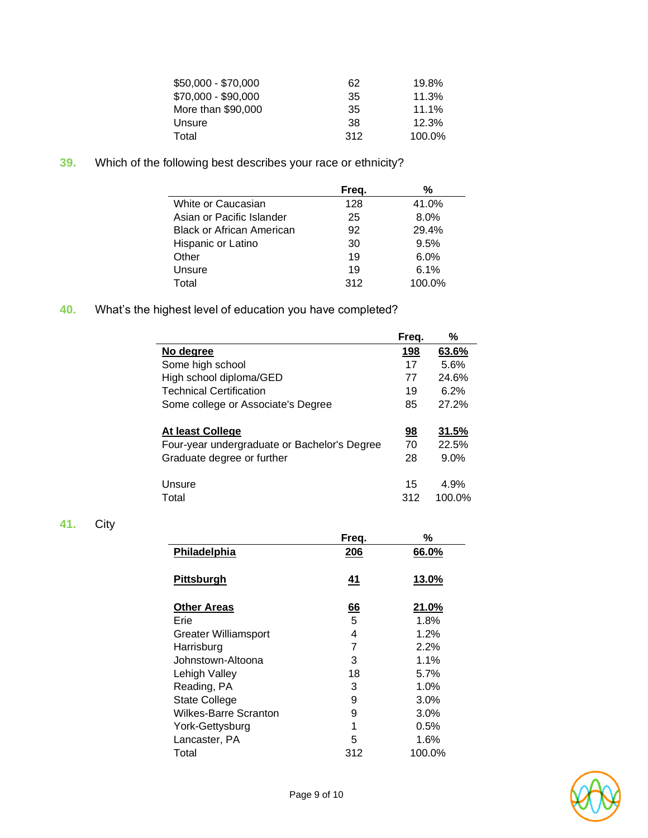| \$50,000 - \$70,000 | 62  | 19.8%  |
|---------------------|-----|--------|
| \$70,000 - \$90,000 | 35  | 11.3%  |
| More than \$90,000  | 35  | 11.1%  |
| Unsure              | 38  | 12.3%  |
| Total               | 312 | 100.0% |

**39.** Which of the following best describes your race or ethnicity?

|                                  | Freq. | %      |
|----------------------------------|-------|--------|
| White or Caucasian               | 128   | 41.0%  |
| Asian or Pacific Islander        | 25    | 8.0%   |
| <b>Black or African American</b> | 92    | 29.4%  |
| Hispanic or Latino               | 30    | 9.5%   |
| Other                            | 19    | 6.0%   |
| Unsure                           | 19    | 6.1%   |
| Total                            | 312   | 100.0% |

**40.** What's the highest level of education you have completed?

|                                              | Freg.     | %      |
|----------------------------------------------|-----------|--------|
| No degree                                    | 198       | 63.6%  |
| Some high school                             | 17        | 5.6%   |
| High school diploma/GED                      | 77        | 24.6%  |
| <b>Technical Certification</b>               | 19        | 6.2%   |
| Some college or Associate's Degree           | 85        | 27.2%  |
| At least College                             | <u>98</u> | 31.5%  |
| Four-year undergraduate or Bachelor's Degree | 70        | 22.5%  |
| Graduate degree or further                   | 28        | 9.0%   |
| Unsure                                       | 15        | 4.9%   |
| Total                                        | 312       | 100.0% |

## **41.** City

|                       | Freq.          | ℅       |
|-----------------------|----------------|---------|
| Philadelphia          | 206            | 66.0%   |
|                       |                |         |
| <b>Pittsburgh</b>     | <u>41</u>      | 13.0%   |
|                       |                |         |
| <b>Other Areas</b>    | $\frac{66}{5}$ | 21.0%   |
| Erie                  |                | 1.8%    |
| Greater Williamsport  | 4              | 1.2%    |
| Harrisburg            | 7              | 2.2%    |
| Johnstown-Altoona     | 3              | 1.1%    |
| <b>Lehigh Valley</b>  | 18             | 5.7%    |
| Reading, PA           | 3              | 1.0%    |
| <b>State College</b>  | 9              | 3.0%    |
| Wilkes-Barre Scranton | 9              | $3.0\%$ |
| York-Gettysburg       | 1              | $0.5\%$ |
| Lancaster, PA         | 5              | 1.6%    |
| Total                 | 312            | 100.0%  |